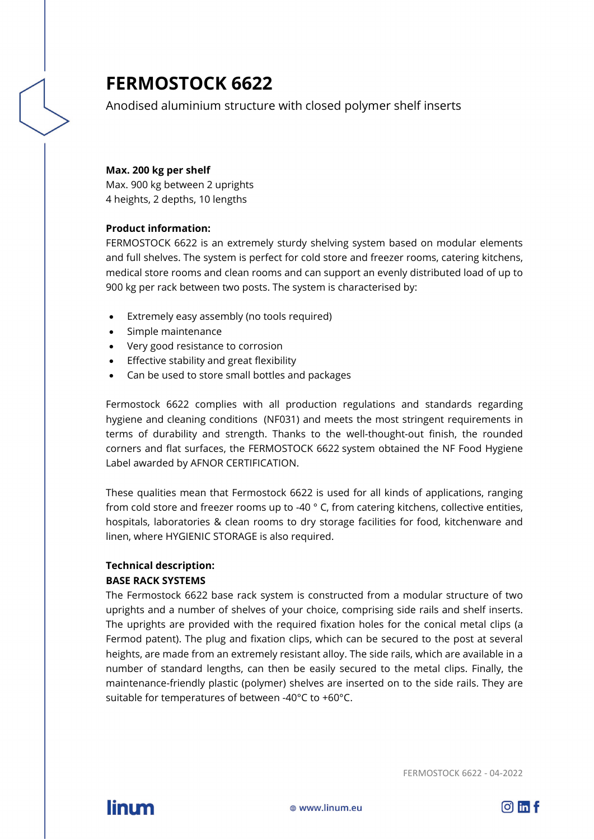# **FERMOSTOCK 6622**

Anodised aluminium structure with closed polymer shelf inserts

#### **Max. 200 kg per shelf**

Max. 900 kg between 2 uprights 4 heights, 2 depths, 10 lengths

## **Product information:**

FERMOSTOCK 6622 is an extremely sturdy shelving system based on modular elements and full shelves. The system is perfect for cold store and freezer rooms, catering kitchens, medical store rooms and clean rooms and can support an evenly distributed load of up to 900 kg per rack between two posts. The system is characterised by:

- Extremely easy assembly (no tools required)
- Simple maintenance
- Very good resistance to corrosion
- Effective stability and great flexibility
- Can be used to store small bottles and packages

Fermostock 6622 complies with all production regulations and standards regarding hygiene and cleaning conditions (NF031) and meets the most stringent requirements in terms of durability and strength. Thanks to the well-thought-out finish, the rounded corners and flat surfaces, the FERMOSTOCK 6622 system obtained the NF Food Hygiene Label awarded by AFNOR CERTIFICATION.

These qualities mean that Fermostock 6622 is used for all kinds of applications, ranging from cold store and freezer rooms up to -40 ° C, from catering kitchens, collective entities, hospitals, laboratories & clean rooms to dry storage facilities for food, kitchenware and linen, where HYGIENIC STORAGE is also required.

# **Technical description:**

## **BASE RACK SYSTEMS**

The Fermostock 6622 base rack system is constructed from a modular structure of two uprights and a number of shelves of your choice, comprising side rails and shelf inserts. The uprights are provided with the required fixation holes for the conical metal clips (a Fermod patent). The plug and fixation clips, which can be secured to the post at several heights, are made from an extremely resistant alloy. The side rails, which are available in a number of standard lengths, can then be easily secured to the metal clips. Finally, the maintenance-friendly plastic (polymer) shelves are inserted on to the side rails. They are suitable for temperatures of between -40°C to +60°C.